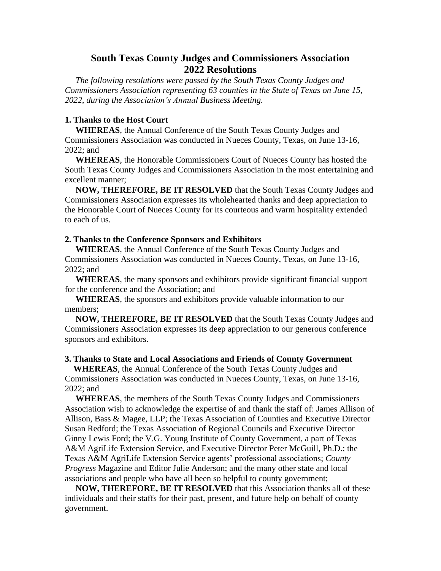# **South Texas County Judges and Commissioners Association 2022 Resolutions**

 *The following resolutions were passed by the South Texas County Judges and Commissioners Association representing 63 counties in the State of Texas on June 15, 2022, during the Association's Annual Business Meeting.*

# **1. Thanks to the Host Court**

 **WHEREAS**, the Annual Conference of the South Texas County Judges and Commissioners Association was conducted in Nueces County, Texas, on June 13-16, 2022; and

 **WHEREAS**, the Honorable Commissioners Court of Nueces County has hosted the South Texas County Judges and Commissioners Association in the most entertaining and excellent manner;

 **NOW, THEREFORE, BE IT RESOLVED** that the South Texas County Judges and Commissioners Association expresses its wholehearted thanks and deep appreciation to the Honorable Court of Nueces County for its courteous and warm hospitality extended to each of us.

#### **2. Thanks to the Conference Sponsors and Exhibitors**

 **WHEREAS**, the Annual Conference of the South Texas County Judges and Commissioners Association was conducted in Nueces County, Texas, on June 13-16, 2022; and

 **WHEREAS**, the many sponsors and exhibitors provide significant financial support for the conference and the Association; and

 **WHEREAS**, the sponsors and exhibitors provide valuable information to our members;

 **NOW, THEREFORE, BE IT RESOLVED** that the South Texas County Judges and Commissioners Association expresses its deep appreciation to our generous conference sponsors and exhibitors.

#### **3. Thanks to State and Local Associations and Friends of County Government**

 **WHEREAS**, the Annual Conference of the South Texas County Judges and Commissioners Association was conducted in Nueces County, Texas, on June 13-16, 2022; and

 **WHEREAS**, the members of the South Texas County Judges and Commissioners Association wish to acknowledge the expertise of and thank the staff of: James Allison of Allison, Bass & Magee, LLP; the Texas Association of Counties and Executive Director Susan Redford; the Texas Association of Regional Councils and Executive Director Ginny Lewis Ford; the V.G. Young Institute of County Government, a part of Texas A&M AgriLife Extension Service, and Executive Director Peter McGuill, Ph.D.; the Texas A&M AgriLife Extension Service agents' professional associations; *County Progress* Magazine and Editor Julie Anderson; and the many other state and local associations and people who have all been so helpful to county government;

 **NOW, THEREFORE, BE IT RESOLVED** that this Association thanks all of these individuals and their staffs for their past, present, and future help on behalf of county government.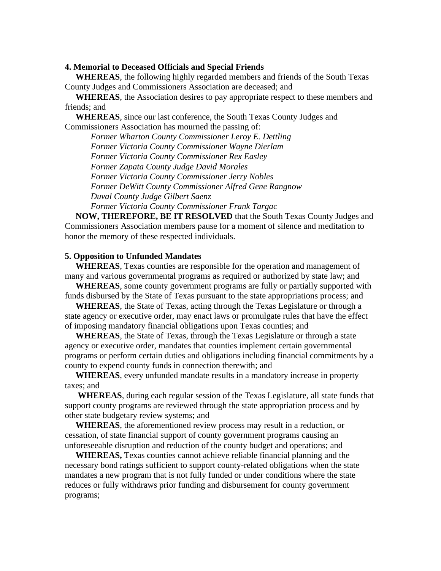## **4. Memorial to Deceased Officials and Special Friends**

 **WHEREAS**, the following highly regarded members and friends of the South Texas County Judges and Commissioners Association are deceased; and

 **WHEREAS**, the Association desires to pay appropriate respect to these members and friends; and

 **WHEREAS**, since our last conference, the South Texas County Judges and Commissioners Association has mourned the passing of:

 *Former Wharton County Commissioner Leroy E. Dettling Former Victoria County Commissioner Wayne Dierlam Former Victoria County Commissioner Rex Easley Former Zapata County Judge David Morales Former Victoria County Commissioner Jerry Nobles Former DeWitt County Commissioner Alfred Gene Rangnow Duval County Judge Gilbert Saenz*

*Former Victoria County Commissioner Frank Targac*

**NOW, THEREFORE, BE IT RESOLVED** that the South Texas County Judges and Commissioners Association members pause for a moment of silence and meditation to honor the memory of these respected individuals.

#### **5. Opposition to Unfunded Mandates**

 **WHEREAS**, Texas counties are responsible for the operation and management of many and various governmental programs as required or authorized by state law; and

 **WHEREAS**, some county government programs are fully or partially supported with funds disbursed by the State of Texas pursuant to the state appropriations process; and

 **WHEREAS**, the State of Texas, acting through the Texas Legislature or through a state agency or executive order, may enact laws or promulgate rules that have the effect of imposing mandatory financial obligations upon Texas counties; and

 **WHEREAS**, the State of Texas, through the Texas Legislature or through a state agency or executive order, mandates that counties implement certain governmental programs or perform certain duties and obligations including financial commitments by a county to expend county funds in connection therewith; and

 **WHEREAS**, every unfunded mandate results in a mandatory increase in property taxes; and

 **WHEREAS**, during each regular session of the Texas Legislature, all state funds that support county programs are reviewed through the state appropriation process and by other state budgetary review systems; and

 **WHEREAS**, the aforementioned review process may result in a reduction, or cessation, of state financial support of county government programs causing an unforeseeable disruption and reduction of the county budget and operations; and

 **WHEREAS,** Texas counties cannot achieve reliable financial planning and the necessary bond ratings sufficient to support county-related obligations when the state mandates a new program that is not fully funded or under conditions where the state reduces or fully withdraws prior funding and disbursement for county government programs;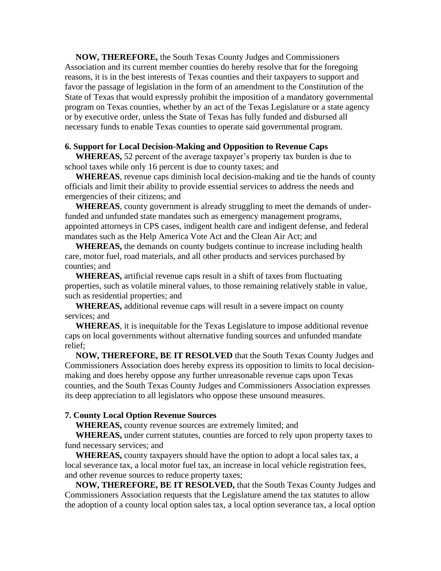**NOW, THEREFORE,** the South Texas County Judges and Commissioners Association and its current member counties do hereby resolve that for the foregoing reasons, it is in the best interests of Texas counties and their taxpayers to support and favor the passage of legislation in the form of an amendment to the Constitution of the State of Texas that would expressly prohibit the imposition of a mandatory governmental program on Texas counties, whether by an act of the Texas Legislature or a state agency or by executive order, unless the State of Texas has fully funded and disbursed all necessary funds to enable Texas counties to operate said governmental program.

## **6. Support for Local Decision-Making and Opposition to Revenue Caps**

 **WHEREAS,** 52 percent of the average taxpayer's property tax burden is due to school taxes while only 16 percent is due to county taxes; and

 **WHEREAS**, revenue caps diminish local decision-making and tie the hands of county officials and limit their ability to provide essential services to address the needs and emergencies of their citizens; and

 **WHEREAS**, county government is already struggling to meet the demands of underfunded and unfunded state mandates such as emergency management programs, appointed attorneys in CPS cases, indigent health care and indigent defense, and federal mandates such as the Help America Vote Act and the Clean Air Act; and

 **WHEREAS,** the demands on county budgets continue to increase including health care, motor fuel, road materials, and all other products and services purchased by counties; and

 **WHEREAS,** artificial revenue caps result in a shift of taxes from fluctuating properties, such as volatile mineral values, to those remaining relatively stable in value, such as residential properties; and

 **WHEREAS,** additional revenue caps will result in a severe impact on county services; and

 **WHEREAS**, it is inequitable for the Texas Legislature to impose additional revenue caps on local governments without alternative funding sources and unfunded mandate relief;

 **NOW, THEREFORE, BE IT RESOLVED** that the South Texas County Judges and Commissioners Association does hereby express its opposition to limits to local decisionmaking and does hereby oppose any further unreasonable revenue caps upon Texas counties, and the South Texas County Judges and Commissioners Association expresses its deep appreciation to all legislators who oppose these unsound measures.

#### **7. County Local Option Revenue Sources**

 **WHEREAS,** county revenue sources are extremely limited; and

 **WHEREAS,** under current statutes, counties are forced to rely upon property taxes to fund necessary services; and

 **WHEREAS,** county taxpayers should have the option to adopt a local sales tax, a local severance tax, a local motor fuel tax, an increase in local vehicle registration fees, and other revenue sources to reduce property taxes;

 **NOW, THEREFORE, BE IT RESOLVED,** that the South Texas County Judges and Commissioners Association requests that the Legislature amend the tax statutes to allow the adoption of a county local option sales tax, a local option severance tax, a local option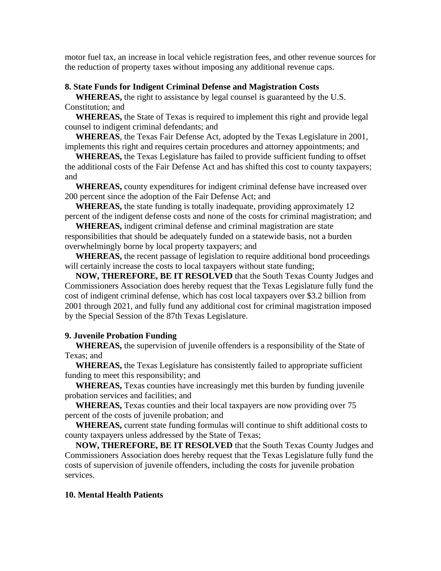motor fuel tax, an increase in local vehicle registration fees, and other revenue sources for the reduction of property taxes without imposing any additional revenue caps.

## **8. State Funds for Indigent Criminal Defense and Magistration Costs**

 **WHEREAS,** the right to assistance by legal counsel is guaranteed by the U.S. Constitution; and

 **WHEREAS,** the State of Texas is required to implement this right and provide legal counsel to indigent criminal defendants; and

 **WHEREAS**, the Texas Fair Defense Act, adopted by the Texas Legislature in 2001, implements this right and requires certain procedures and attorney appointments; and

 **WHEREAS,** the Texas Legislature has failed to provide sufficient funding to offset the additional costs of the Fair Defense Act and has shifted this cost to county taxpayers; and

 **WHEREAS,** county expenditures for indigent criminal defense have increased over 200 percent since the adoption of the Fair Defense Act; and

 **WHEREAS,** the state funding is totally inadequate, providing approximately 12 percent of the indigent defense costs and none of the costs for criminal magistration; and

 **WHEREAS,** indigent criminal defense and criminal magistration are state responsibilities that should be adequately funded on a statewide basis, not a burden overwhelmingly borne by local property taxpayers; and

 **WHEREAS,** the recent passage of legislation to require additional bond proceedings will certainly increase the costs to local taxpayers without state funding;

 **NOW, THEREFORE, BE IT RESOLVED** that the South Texas County Judges and Commissioners Association does hereby request that the Texas Legislature fully fund the cost of indigent criminal defense, which has cost local taxpayers over \$3.2 billion from 2001 through 2021, and fully fund any additional cost for criminal magistration imposed by the Special Session of the 87th Texas Legislature.

# **9. Juvenile Probation Funding**

 **WHEREAS,** the supervision of juvenile offenders is a responsibility of the State of Texas; and

 **WHEREAS,** the Texas Legislature has consistently failed to appropriate sufficient funding to meet this responsibility; and

 **WHEREAS,** Texas counties have increasingly met this burden by funding juvenile probation services and facilities; and

 **WHEREAS,** Texas counties and their local taxpayers are now providing over 75 percent of the costs of juvenile probation; and

 **WHEREAS,** current state funding formulas will continue to shift additional costs to county taxpayers unless addressed by the State of Texas;

 **NOW, THEREFORE, BE IT RESOLVED** that the South Texas County Judges and Commissioners Association does hereby request that the Texas Legislature fully fund the costs of supervision of juvenile offenders, including the costs for juvenile probation services.

## **10. Mental Health Patients**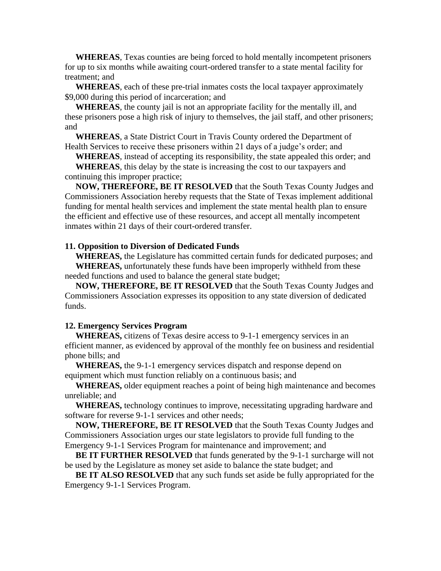**WHEREAS**, Texas counties are being forced to hold mentally incompetent prisoners for up to six months while awaiting court-ordered transfer to a state mental facility for treatment; and

 **WHEREAS**, each of these pre-trial inmates costs the local taxpayer approximately \$9,000 during this period of incarceration; and

 **WHEREAS**, the county jail is not an appropriate facility for the mentally ill, and these prisoners pose a high risk of injury to themselves, the jail staff, and other prisoners; and

 **WHEREAS**, a State District Court in Travis County ordered the Department of Health Services to receive these prisoners within 21 days of a judge's order; and

 **WHEREAS**, instead of accepting its responsibility, the state appealed this order; and

 **WHEREAS**, this delay by the state is increasing the cost to our taxpayers and continuing this improper practice;

 **NOW, THEREFORE, BE IT RESOLVED** that the South Texas County Judges and Commissioners Association hereby requests that the State of Texas implement additional funding for mental health services and implement the state mental health plan to ensure the efficient and effective use of these resources, and accept all mentally incompetent inmates within 21 days of their court-ordered transfer.

## **11. Opposition to Diversion of Dedicated Funds**

 **WHEREAS,** the Legislature has committed certain funds for dedicated purposes; and  **WHEREAS,** unfortunately these funds have been improperly withheld from these needed functions and used to balance the general state budget;

 **NOW, THEREFORE, BE IT RESOLVED** that the South Texas County Judges and Commissioners Association expresses its opposition to any state diversion of dedicated funds.

## **12. Emergency Services Program**

 **WHEREAS,** citizens of Texas desire access to 9-1-1 emergency services in an efficient manner, as evidenced by approval of the monthly fee on business and residential phone bills; and

 **WHEREAS,** the 9-1-1 emergency services dispatch and response depend on equipment which must function reliably on a continuous basis; and

 **WHEREAS,** older equipment reaches a point of being high maintenance and becomes unreliable; and

 **WHEREAS,** technology continues to improve, necessitating upgrading hardware and software for reverse 9-1-1 services and other needs;

 **NOW, THEREFORE, BE IT RESOLVED** that the South Texas County Judges and Commissioners Association urges our state legislators to provide full funding to the Emergency 9-1-1 Services Program for maintenance and improvement; and

 **BE IT FURTHER RESOLVED** that funds generated by the 9-1-1 surcharge will not be used by the Legislature as money set aside to balance the state budget; and

 **BE IT ALSO RESOLVED** that any such funds set aside be fully appropriated for the Emergency 9-1-1 Services Program.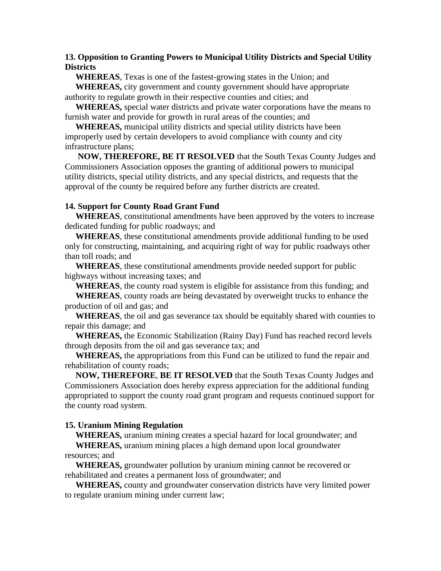# **13. Opposition to Granting Powers to Municipal Utility Districts and Special Utility Districts**

 **WHEREAS**, Texas is one of the fastest-growing states in the Union; and **WHEREAS,** city government and county government should have appropriate authority to regulate growth in their respective counties and cities; and

 **WHEREAS,** special water districts and private water corporations have the means to furnish water and provide for growth in rural areas of the counties; and

 **WHEREAS,** municipal utility districts and special utility districts have been improperly used by certain developers to avoid compliance with county and city infrastructure plans;

 **NOW, THEREFORE, BE IT RESOLVED** that the South Texas County Judges and Commissioners Association opposes the granting of additional powers to municipal utility districts, special utility districts, and any special districts, and requests that the approval of the county be required before any further districts are created.

## **14. Support for County Road Grant Fund**

 **WHEREAS**, constitutional amendments have been approved by the voters to increase dedicated funding for public roadways; and

 **WHEREAS**, these constitutional amendments provide additional funding to be used only for constructing, maintaining, and acquiring right of way for public roadways other than toll roads; and

 **WHEREAS**, these constitutional amendments provide needed support for public highways without increasing taxes; and

 **WHEREAS**, the county road system is eligible for assistance from this funding; and  **WHEREAS**, county roads are being devastated by overweight trucks to enhance the

production of oil and gas; and

 **WHEREAS**, the oil and gas severance tax should be equitably shared with counties to repair this damage; and

 **WHEREAS,** the Economic Stabilization (Rainy Day) Fund has reached record levels through deposits from the oil and gas severance tax; and

 **WHEREAS,** the appropriations from this Fund can be utilized to fund the repair and rehabilitation of county roads;

 **NOW, THEREFORE**, **BE IT RESOLVED** that the South Texas County Judges and Commissioners Association does hereby express appreciation for the additional funding appropriated to support the county road grant program and requests continued support for the county road system.

## **15. Uranium Mining Regulation**

 **WHEREAS,** uranium mining creates a special hazard for local groundwater; and

 **WHEREAS,** uranium mining places a high demand upon local groundwater resources; and

 **WHEREAS,** groundwater pollution by uranium mining cannot be recovered or rehabilitated and creates a permanent loss of groundwater; and

 **WHEREAS,** county and groundwater conservation districts have very limited power to regulate uranium mining under current law;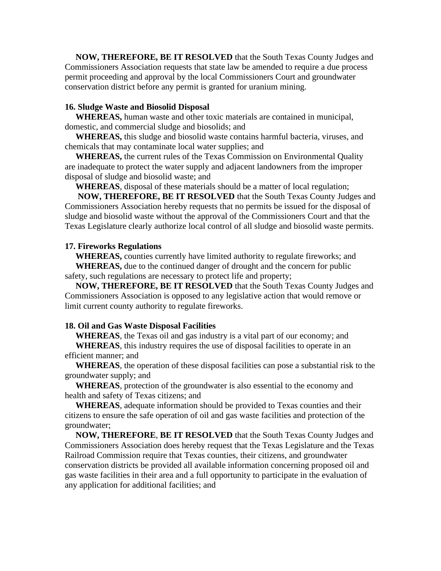**NOW, THEREFORE, BE IT RESOLVED** that the South Texas County Judges and Commissioners Association requests that state law be amended to require a due process permit proceeding and approval by the local Commissioners Court and groundwater conservation district before any permit is granted for uranium mining.

## **16. Sludge Waste and Biosolid Disposal**

 **WHEREAS,** human waste and other toxic materials are contained in municipal, domestic, and commercial sludge and biosolids; and

 **WHEREAS,** this sludge and biosolid waste contains harmful bacteria, viruses, and chemicals that may contaminate local water supplies; and

 **WHEREAS,** the current rules of the Texas Commission on Environmental Quality are inadequate to protect the water supply and adjacent landowners from the improper disposal of sludge and biosolid waste; and

 **WHEREAS**, disposal of these materials should be a matter of local regulation;

 **NOW, THEREFORE, BE IT RESOLVED** that the South Texas County Judges and Commissioners Association hereby requests that no permits be issued for the disposal of sludge and biosolid waste without the approval of the Commissioners Court and that the Texas Legislature clearly authorize local control of all sludge and biosolid waste permits.

## **17. Fireworks Regulations**

 **WHEREAS,** counties currently have limited authority to regulate fireworks; and  **WHEREAS,** due to the continued danger of drought and the concern for public safety, such regulations are necessary to protect life and property;

 **NOW, THEREFORE, BE IT RESOLVED** that the South Texas County Judges and Commissioners Association is opposed to any legislative action that would remove or limit current county authority to regulate fireworks.

## **18. Oil and Gas Waste Disposal Facilities**

 **WHEREAS**, the Texas oil and gas industry is a vital part of our economy; and  **WHEREAS**, this industry requires the use of disposal facilities to operate in an efficient manner; and

 **WHEREAS**, the operation of these disposal facilities can pose a substantial risk to the groundwater supply; and

 **WHEREAS**, protection of the groundwater is also essential to the economy and health and safety of Texas citizens; and

 **WHEREAS**, adequate information should be provided to Texas counties and their citizens to ensure the safe operation of oil and gas waste facilities and protection of the groundwater;

 **NOW, THEREFORE**, **BE IT RESOLVED** that the South Texas County Judges and Commissioners Association does hereby request that the Texas Legislature and the Texas Railroad Commission require that Texas counties, their citizens, and groundwater conservation districts be provided all available information concerning proposed oil and gas waste facilities in their area and a full opportunity to participate in the evaluation of any application for additional facilities; and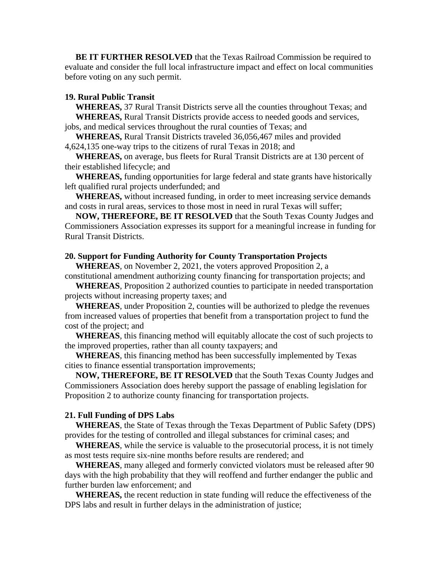**BE IT FURTHER RESOLVED** that the Texas Railroad Commission be required to evaluate and consider the full local infrastructure impact and effect on local communities before voting on any such permit.

## **19. Rural Public Transit**

 **WHEREAS,** 37 Rural Transit Districts serve all the counties throughout Texas; and  **WHEREAS,** Rural Transit Districts provide access to needed goods and services, jobs, and medical services throughout the rural counties of Texas; and

 **WHEREAS,** Rural Transit Districts traveled 36,056,467 miles and provided 4,624,135 one-way trips to the citizens of rural Texas in 2018; and

 **WHEREAS,** on average, bus fleets for Rural Transit Districts are at 130 percent of their established lifecycle; and

 **WHEREAS,** funding opportunities for large federal and state grants have historically left qualified rural projects underfunded; and

 **WHEREAS,** without increased funding, in order to meet increasing service demands and costs in rural areas, services to those most in need in rural Texas will suffer;

 **NOW, THEREFORE, BE IT RESOLVED** that the South Texas County Judges and Commissioners Association expresses its support for a meaningful increase in funding for Rural Transit Districts.

#### **20. Support for Funding Authority for County Transportation Projects**

 **WHEREAS**, on November 2, 2021, the voters approved Proposition 2, a constitutional amendment authorizing county financing for transportation projects; and

 **WHEREAS**, Proposition 2 authorized counties to participate in needed transportation projects without increasing property taxes; and

 **WHEREAS**, under Proposition 2, counties will be authorized to pledge the revenues from increased values of properties that benefit from a transportation project to fund the cost of the project; and

 **WHEREAS**, this financing method will equitably allocate the cost of such projects to the improved properties, rather than all county taxpayers; and

 **WHEREAS**, this financing method has been successfully implemented by Texas cities to finance essential transportation improvements;

 **NOW, THEREFORE, BE IT RESOLVED** that the South Texas County Judges and Commissioners Association does hereby support the passage of enabling legislation for Proposition 2 to authorize county financing for transportation projects.

#### **21. Full Funding of DPS Labs**

 **WHEREAS**, the State of Texas through the Texas Department of Public Safety (DPS) provides for the testing of controlled and illegal substances for criminal cases; and

 **WHEREAS**, while the service is valuable to the prosecutorial process, it is not timely as most tests require six-nine months before results are rendered; and

 **WHEREAS**, many alleged and formerly convicted violators must be released after 90 days with the high probability that they will reoffend and further endanger the public and further burden law enforcement; and

 **WHEREAS,** the recent reduction in state funding will reduce the effectiveness of the DPS labs and result in further delays in the administration of justice;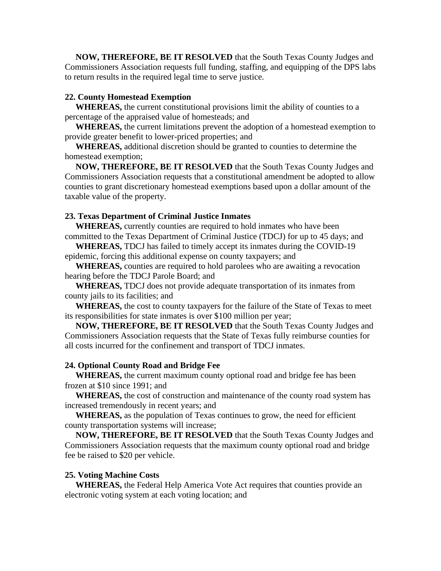**NOW, THEREFORE, BE IT RESOLVED** that the South Texas County Judges and Commissioners Association requests full funding, staffing, and equipping of the DPS labs to return results in the required legal time to serve justice.

# **22. County Homestead Exemption**

 **WHEREAS,** the current constitutional provisions limit the ability of counties to a percentage of the appraised value of homesteads; and

 **WHEREAS,** the current limitations prevent the adoption of a homestead exemption to provide greater benefit to lower-priced properties; and

 **WHEREAS,** additional discretion should be granted to counties to determine the homestead exemption;

 **NOW, THEREFORE, BE IT RESOLVED** that the South Texas County Judges and Commissioners Association requests that a constitutional amendment be adopted to allow counties to grant discretionary homestead exemptions based upon a dollar amount of the taxable value of the property.

# **23. Texas Department of Criminal Justice Inmates**

 **WHEREAS,** currently counties are required to hold inmates who have been committed to the Texas Department of Criminal Justice (TDCJ) for up to 45 days; and

 **WHEREAS,** TDCJ has failed to timely accept its inmates during the COVID-19 epidemic, forcing this additional expense on county taxpayers; and

 **WHEREAS,** counties are required to hold parolees who are awaiting a revocation hearing before the TDCJ Parole Board; and

 **WHEREAS,** TDCJ does not provide adequate transportation of its inmates from county jails to its facilities; and

 **WHEREAS,** the cost to county taxpayers for the failure of the State of Texas to meet its responsibilities for state inmates is over \$100 million per year;

 **NOW, THEREFORE, BE IT RESOLVED** that the South Texas County Judges and Commissioners Association requests that the State of Texas fully reimburse counties for all costs incurred for the confinement and transport of TDCJ inmates.

## **24. Optional County Road and Bridge Fee**

 **WHEREAS,** the current maximum county optional road and bridge fee has been frozen at \$10 since 1991; and

 **WHEREAS,** the cost of construction and maintenance of the county road system has increased tremendously in recent years; and

 **WHEREAS,** as the population of Texas continues to grow, the need for efficient county transportation systems will increase;

 **NOW, THEREFORE, BE IT RESOLVED** that the South Texas County Judges and Commissioners Association requests that the maximum county optional road and bridge fee be raised to \$20 per vehicle.

#### **25. Voting Machine Costs**

 **WHEREAS,** the Federal Help America Vote Act requires that counties provide an electronic voting system at each voting location; and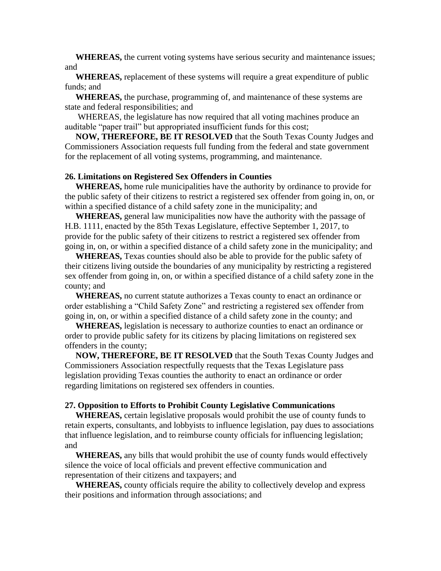**WHEREAS,** the current voting systems have serious security and maintenance issues; and

 **WHEREAS,** replacement of these systems will require a great expenditure of public funds; and

 **WHEREAS,** the purchase, programming of, and maintenance of these systems are state and federal responsibilities; and

 WHEREAS, the legislature has now required that all voting machines produce an auditable "paper trail" but appropriated insufficient funds for this cost;

 **NOW, THEREFORE, BE IT RESOLVED** that the South Texas County Judges and Commissioners Association requests full funding from the federal and state government for the replacement of all voting systems, programming, and maintenance.

#### **26. Limitations on Registered Sex Offenders in Counties**

 **WHEREAS,** home rule municipalities have the authority by ordinance to provide for the public safety of their citizens to restrict a registered sex offender from going in, on, or within a specified distance of a child safety zone in the municipality; and

 **WHEREAS,** general law municipalities now have the authority with the passage of H.B. 1111, enacted by the 85th Texas Legislature, effective September 1, 2017, to provide for the public safety of their citizens to restrict a registered sex offender from going in, on, or within a specified distance of a child safety zone in the municipality; and

 **WHEREAS,** Texas counties should also be able to provide for the public safety of their citizens living outside the boundaries of any municipality by restricting a registered sex offender from going in, on, or within a specified distance of a child safety zone in the county; and

 **WHEREAS,** no current statute authorizes a Texas county to enact an ordinance or order establishing a "Child Safety Zone" and restricting a registered sex offender from going in, on, or within a specified distance of a child safety zone in the county; and

 **WHEREAS,** legislation is necessary to authorize counties to enact an ordinance or order to provide public safety for its citizens by placing limitations on registered sex offenders in the county;

 **NOW, THEREFORE, BE IT RESOLVED** that the South Texas County Judges and Commissioners Association respectfully requests that the Texas Legislature pass legislation providing Texas counties the authority to enact an ordinance or order regarding limitations on registered sex offenders in counties.

#### **27. Opposition to Efforts to Prohibit County Legislative Communications**

 **WHEREAS,** certain legislative proposals would prohibit the use of county funds to retain experts, consultants, and lobbyists to influence legislation, pay dues to associations that influence legislation, and to reimburse county officials for influencing legislation; and

 **WHEREAS,** any bills that would prohibit the use of county funds would effectively silence the voice of local officials and prevent effective communication and representation of their citizens and taxpayers; and

 **WHEREAS,** county officials require the ability to collectively develop and express their positions and information through associations; and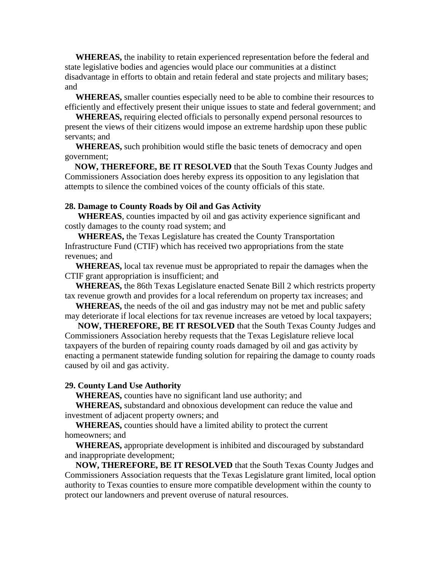**WHEREAS,** the inability to retain experienced representation before the federal and state legislative bodies and agencies would place our communities at a distinct disadvantage in efforts to obtain and retain federal and state projects and military bases; and

 **WHEREAS,** smaller counties especially need to be able to combine their resources to efficiently and effectively present their unique issues to state and federal government; and

 **WHEREAS,** requiring elected officials to personally expend personal resources to present the views of their citizens would impose an extreme hardship upon these public servants; and

 **WHEREAS,** such prohibition would stifle the basic tenets of democracy and open government;

 **NOW, THEREFORE, BE IT RESOLVED** that the South Texas County Judges and Commissioners Association does hereby express its opposition to any legislation that attempts to silence the combined voices of the county officials of this state.

#### **28. Damage to County Roads by Oil and Gas Activity**

 **WHEREAS**, counties impacted by oil and gas activity experience significant and costly damages to the county road system; and

 **WHEREAS,** the Texas Legislature has created the County Transportation Infrastructure Fund (CTIF) which has received two appropriations from the state revenues; and

 **WHEREAS,** local tax revenue must be appropriated to repair the damages when the CTIF grant appropriation is insufficient; and

 **WHEREAS,** the 86th Texas Legislature enacted Senate Bill 2 which restricts property tax revenue growth and provides for a local referendum on property tax increases; and

 **WHEREAS,** the needs of the oil and gas industry may not be met and public safety may deteriorate if local elections for tax revenue increases are vetoed by local taxpayers;

 **NOW, THEREFORE, BE IT RESOLVED** that the South Texas County Judges and Commissioners Association hereby requests that the Texas Legislature relieve local taxpayers of the burden of repairing county roads damaged by oil and gas activity by enacting a permanent statewide funding solution for repairing the damage to county roads caused by oil and gas activity.

#### **29. County Land Use Authority**

**WHEREAS,** counties have no significant land use authority; and

 **WHEREAS,** substandard and obnoxious development can reduce the value and investment of adjacent property owners; and

 **WHEREAS,** counties should have a limited ability to protect the current homeowners; and

 **WHEREAS,** appropriate development is inhibited and discouraged by substandard and inappropriate development;

 **NOW, THEREFORE, BE IT RESOLVED** that the South Texas County Judges and Commissioners Association requests that the Texas Legislature grant limited, local option authority to Texas counties to ensure more compatible development within the county to protect our landowners and prevent overuse of natural resources.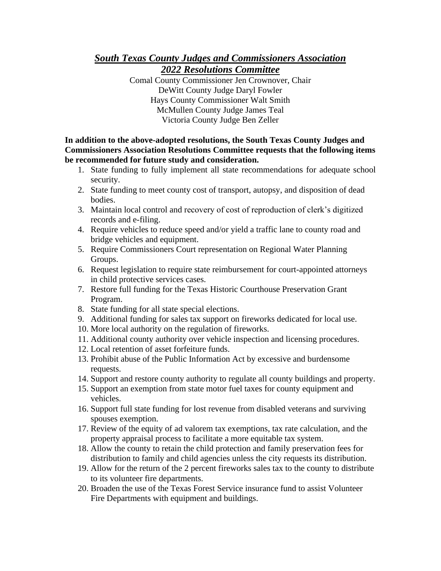# *South Texas County Judges and Commissioners Association 2022 Resolutions Committee*

Comal County Commissioner Jen Crownover, Chair DeWitt County Judge Daryl Fowler Hays County Commissioner Walt Smith McMullen County Judge James Teal Victoria County Judge Ben Zeller

**In addition to the above-adopted resolutions, the South Texas County Judges and Commissioners Association Resolutions Committee requests that the following items be recommended for future study and consideration.**

- 1. State funding to fully implement all state recommendations for adequate school security.
- 2. State funding to meet county cost of transport, autopsy, and disposition of dead bodies.
- 3. Maintain local control and recovery of cost of reproduction of clerk's digitized records and e-filing.
- 4. Require vehicles to reduce speed and/or yield a traffic lane to county road and bridge vehicles and equipment.
- 5. Require Commissioners Court representation on Regional Water Planning Groups.
- 6. Request legislation to require state reimbursement for court-appointed attorneys in child protective services cases.
- 7. Restore full funding for the Texas Historic Courthouse Preservation Grant Program.
- 8. State funding for all state special elections.
- 9. Additional funding for sales tax support on fireworks dedicated for local use.
- 10. More local authority on the regulation of fireworks.
- 11. Additional county authority over vehicle inspection and licensing procedures.
- 12. Local retention of asset forfeiture funds.
- 13. Prohibit abuse of the Public Information Act by excessive and burdensome requests.
- 14. Support and restore county authority to regulate all county buildings and property.
- 15. Support an exemption from state motor fuel taxes for county equipment and vehicles.
- 16. Support full state funding for lost revenue from disabled veterans and surviving spouses exemption.
- 17. Review of the equity of ad valorem tax exemptions, tax rate calculation, and the property appraisal process to facilitate a more equitable tax system.
- 18. Allow the county to retain the child protection and family preservation fees for distribution to family and child agencies unless the city requests its distribution.
- 19. Allow for the return of the 2 percent fireworks sales tax to the county to distribute to its volunteer fire departments.
- 20. Broaden the use of the Texas Forest Service insurance fund to assist Volunteer Fire Departments with equipment and buildings.